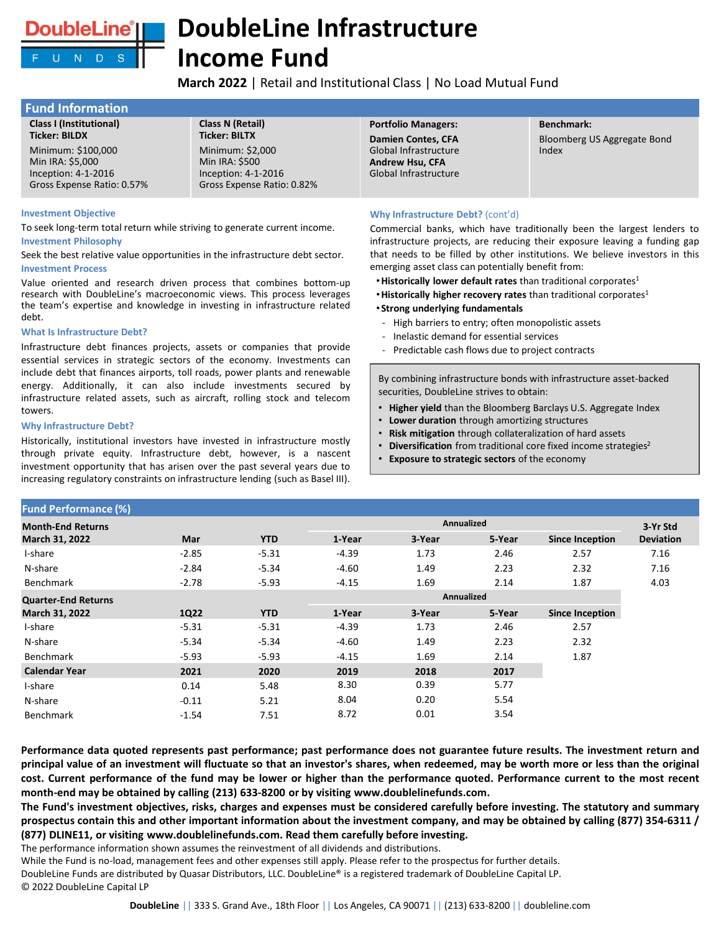

# **DoubleLine Infrastructure Income Fund**

**March 2022** | Retail and Institutional Class | No Load Mutual Fund

| <b>Fund Information</b>                                                                                             |                                                                                                                 |                                                                                                       |                                      |
|---------------------------------------------------------------------------------------------------------------------|-----------------------------------------------------------------------------------------------------------------|-------------------------------------------------------------------------------------------------------|--------------------------------------|
| <b>Class I (Institutional)</b>                                                                                      | Class N (Retail)                                                                                                | <b>Portfolio Managers:</b>                                                                            | <b>Benchmark:</b>                    |
| <b>Ticker: BILDX</b><br>Minimum: \$100,000<br>Min IRA: \$5,000<br>Inception: 4-1-2016<br>Gross Expense Ratio: 0.57% | <b>Ticker: BILTX</b><br>Minimum: \$2,000<br>Min IRA: \$500<br>Inception: 4-1-2016<br>Gross Expense Ratio: 0.82% | <b>Damien Contes, CFA</b><br>Global Infrastructure<br><b>Andrew Hsu, CFA</b><br>Global Infrastructure | Bloomberg US Aggregate Bond<br>Index |

#### **Investment Objective**

To seek long-term total return while striving to generate current income. **Investment Philosophy**

Seek the best relative value opportunities in the infrastructure debt sector. **Investment Process**

Value oriented and research driven process that combines bottom-up research with DoubleLine's macroeconomic views. This process leverages the team's expertise and knowledge in investing in infrastructure related debt.

### **What Is Infrastructure Debt?**

Infrastructure debt finances projects, assets or companies that provide essential services in strategic sectors of the economy. Investments can include debt that finances airports, toll roads, power plants and renewable energy. Additionally, it can also include investments secured by infrastructure related assets, such as aircraft, rolling stock and telecom towers.

#### **Why Infrastructure Debt?**

Historically, institutional investors have invested in infrastructure mostly through private equity. Infrastructure debt, however, is a nascent investment opportunity that has arisen over the past several years due to increasing regulatory constraints on infrastructure lending (such as Basel III).

### **Why Infrastructure Debt?** (cont'd)

Commercial banks, which have traditionally been the largest lenders to infrastructure projects, are reducing their exposure leaving a funding gap that needs to be filled by other institutions. We believe investors in this emerging asset class can potentially benefit from:

- •**Historically lower default rates** than traditional corporates<sup>1</sup>
- •**Historically higher recovery rates** than traditional corporates<sup>1</sup>
- •**Strong underlying fundamentals**
- High barriers to entry; often monopolistic assets
- Inelastic demand for essential services
- Predictable cash flows due to project contracts

By combining infrastructure bonds with infrastructure asset-backed securities, DoubleLine strives to obtain:

- **Higher yield** than the Bloomberg Barclays U.S. Aggregate Index
- **Lower duration** through amortizing structures
- **Risk mitigation** through collateralization of hard assets
- **Diversification** from traditional core fixed income strategies<sup>2</sup>
- **Exposure to strategic sectors** of the economy

| <b>Fund Performance (%)</b> |            |            |                   |        |        |                        |                  |
|-----------------------------|------------|------------|-------------------|--------|--------|------------------------|------------------|
| <b>Month-End Returns</b>    |            |            | <b>Annualized</b> |        |        |                        | 3-Yr Std         |
| March 31, 2022              | <b>Mar</b> | <b>YTD</b> | 1-Year            | 3-Year | 5-Year | <b>Since Inception</b> | <b>Deviation</b> |
| I-share                     | $-2.85$    | $-5.31$    | $-4.39$           | 1.73   | 2.46   | 2.57                   | 7.16             |
| N-share                     | $-2.84$    | $-5.34$    | $-4.60$           | 1.49   | 2.23   | 2.32                   | 7.16             |
| Benchmark                   | $-2.78$    | $-5.93$    | $-4.15$           | 1.69   | 2.14   | 1.87                   | 4.03             |
| <b>Quarter-End Returns</b>  |            |            | <b>Annualized</b> |        |        |                        |                  |
| <b>March 31, 2022</b>       | 1Q22       | <b>YTD</b> | 1-Year            | 3-Year | 5-Year | <b>Since Inception</b> |                  |
| I-share                     | $-5.31$    | $-5.31$    | $-4.39$           | 1.73   | 2.46   | 2.57                   |                  |
| N-share                     | $-5.34$    | $-5.34$    | $-4.60$           | 1.49   | 2.23   | 2.32                   |                  |
| <b>Benchmark</b>            | $-5.93$    | $-5.93$    | $-4.15$           | 1.69   | 2.14   | 1.87                   |                  |
| <b>Calendar Year</b>        | 2021       | 2020       | 2019              | 2018   | 2017   |                        |                  |
| I-share                     | 0.14       | 5.48       | 8.30              | 0.39   | 5.77   |                        |                  |
| N-share                     | $-0.11$    | 5.21       | 8.04              | 0.20   | 5.54   |                        |                  |
| <b>Benchmark</b>            | $-1.54$    | 7.51       | 8.72              | 0.01   | 3.54   |                        |                  |

Performance data quoted represents past performance; past performance does not guarantee future results. The investment return and principal value of an investment will fluctuate so that an investor's shares, when redeemed, may be worth more or less than the original cost. Current performance of the fund may be lower or higher than the performance quoted. Performance current to the most recent **month-end may be obtained by calling (213) 633-8200 or by visiting www.doublelinefunds.com.**

The Fund's investment objectives, risks, charges and expenses must be considered carefully before investing. The statutory and summary prospectus contain this and other important information about the investment company, and may be obtained by calling (877) 354-6311 / **(877) DLINE11, or visiting www.doublelinefunds.com. Read them carefully before investing.**

The performance information shown assumes the reinvestment of all dividends and distributions.

While the Fund is no-load, management fees and other expenses still apply. Please refer to the prospectus for further details.

DoubleLine Funds are distributed by Quasar Distributors, LLC. DoubleLine® is a registered trademark of DoubleLine Capital LP. © 2022 DoubleLine Capital LP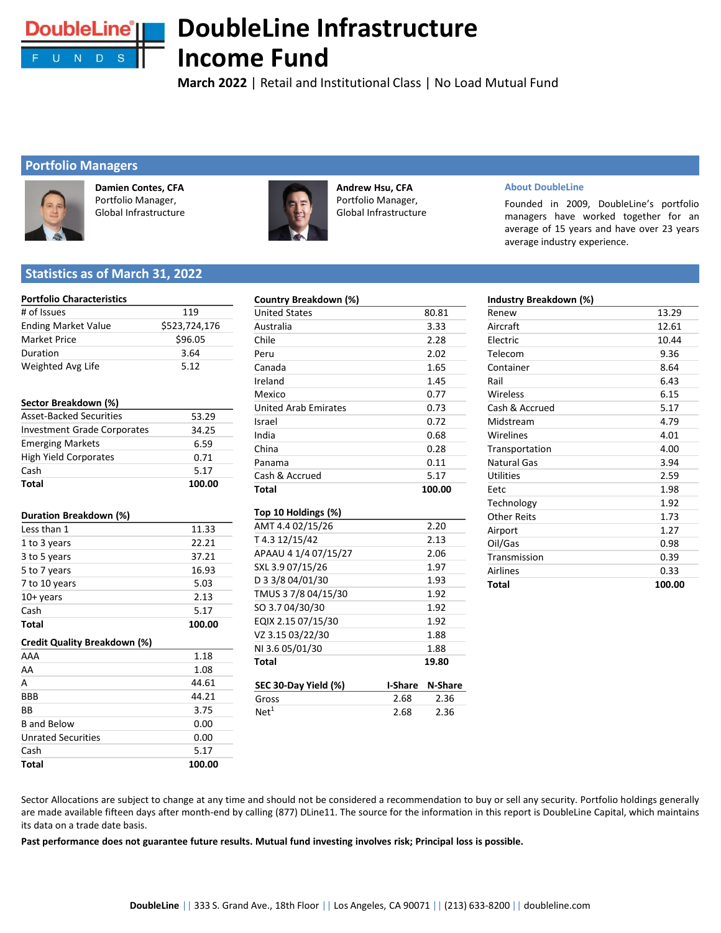

# **DoubleLine Infrastructure Income Fund**

**March 2022** | Retail and Institutional Class | No Load Mutual Fund

## **Portfolio Managers**



**Damien Contes, CFA**  Portfolio Manager, Global Infrastructure



**Andrew Hsu, CFA**  Portfolio Manager, Global Infrastructure

### **About DoubleLine**

**Industry Breakdown (%)**

Founded in 2009, DoubleLine's portfolio managers have worked together for an average of 15 years and have over 23 years average industry experience.

## **Statistics as of March 31, 2022**

### **Portfolio Characteristics**

| # of Issues                         | 119           |
|-------------------------------------|---------------|
| <b>Ending Market Value</b>          | \$523,724,176 |
| <b>Market Price</b>                 | \$96.05       |
| Duration                            | 3.64          |
| Weighted Avg Life                   | 5.12          |
|                                     |               |
| Sector Breakdown (%)                |               |
| <b>Asset-Backed Securities</b>      | 53.29         |
| <b>Investment Grade Corporates</b>  | 34.25         |
| <b>Emerging Markets</b>             | 6.59          |
| <b>High Yield Corporates</b>        | 0.71          |
| Cash                                | 5.17          |
| Total                               | 100.00        |
|                                     |               |
| Duration Breakdown (%)              |               |
| Less than 1                         | 11.33         |
| 1 to 3 years                        | 22.21         |
| 3 to 5 years                        | 37.21         |
| 5 to 7 years                        | 16.93         |
| 7 to 10 years                       | 5.03          |
| 10+ years                           | 2.13          |
| Cash                                | 5.17          |
| Total                               | 100.00        |
| <b>Credit Quality Breakdown (%)</b> |               |
| AAA                                 | 1.18          |
| AA                                  | 1.08          |
| А                                   | 44.61         |
| BBB                                 | 44.21         |
| ВB                                  | 3.75          |
| <b>B</b> and Below                  | 0.00          |
| <b>Unrated Securities</b>           | 0.00          |
| Cash                                | 5.17          |
| Total                               | 100.00        |

| Country Breakdown (%)       |        |
|-----------------------------|--------|
| <b>United States</b>        | 80.81  |
| Australia                   | 3.33   |
| Chile                       | 2.28   |
| Peru                        | 2.02   |
| Canada                      | 1.65   |
| Ireland                     | 1.45   |
| Mexico                      | 0.77   |
| <b>United Arab Emirates</b> | 0.73   |
| Israel                      | 0.72   |
| India                       | 0.68   |
| China                       | 0.28   |
| Panama                      | 0.11   |
| Cash & Accrued              | 5.17   |
| Total                       | 100.00 |
| Top 10 Holdings (%)         |        |
| AMT 4.4 02/15/26            | 2.20   |
| T4.312/15/42                | 2.13   |
| APAAU 4 1/4 07/15/27        | 2.06   |
| SXL 3.9 07/15/26            | 1.97   |
| D 3 3/8 04/01/30            | 1.93   |
| TMUS 3 7/8 04/15/30         | 1.92   |
| SO 3.704/30/30              | 1.92   |
| EQIX 2.15 07/15/30          | 1.92   |

| Renew              | 13.29  |
|--------------------|--------|
| Aircraft           | 12.61  |
| Electric           | 10.44  |
| Telecom            | 9.36   |
| Container          | 8.64   |
| Rail               | 6.43   |
| Wireless           | 6.15   |
| Cash & Accrued     | 5.17   |
| Midstream          | 4.79   |
| Wirelines          | 4.01   |
| Transportation     | 4.00   |
| <b>Natural Gas</b> | 3.94   |
| <b>Utilities</b>   | 2.59   |
| Eetc               | 1.98   |
| Technology         | 1.92   |
| <b>Other Reits</b> | 1.73   |
| Airport            | 1.27   |
| Oil/Gas            | 0.98   |
| Transmission       | 0.39   |
| Airlines           | 0.33   |
| Total              | 100.00 |

Sector Allocations are subject to change at any time and should not be considered a recommendation to buy or sell any security. Portfolio holdings generally are made available fifteen days after month-end by calling (877) DLine11. The source for the information in this report is DoubleLine Capital, which maintains its data on a trade date basis.

**SEC 30-Day Yield (%) I-Share N-Share** Gross 2.68 2.36 Net<sup>1</sup> 2.68 2.36

VZ 3.15 03/22/30 1.88 NI 3.6 05/01/30 1.88 **Total 19.80** 

Past performance does not guarantee future results. Mutual fund investing involves risk; Principal loss is possible.